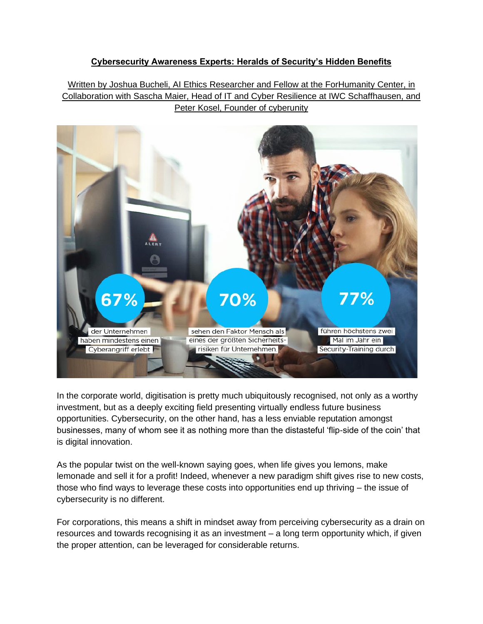# **Cybersecurity Awareness Experts: Heralds of Security's Hidden Benefits**

Written by Joshua Bucheli, AI Ethics Researcher and Fellow at the ForHumanity Center, in Collaboration with Sascha Maier, Head of IT and Cyber Resilience at IWC Schaffhausen, and Peter Kosel, Founder of cyberunity



In the corporate world, digitisation is pretty much ubiquitously recognised, not only as a worthy investment, but as a deeply exciting field presenting virtually endless future business opportunities. Cybersecurity, on the other hand, has a less enviable reputation amongst businesses, many of whom see it as nothing more than the distasteful 'flip-side of the coin' that is digital innovation.

As the popular twist on the well-known saying goes, when life gives you lemons, make lemonade and sell it for a profit! Indeed, whenever a new paradigm shift gives rise to new costs, those who find ways to leverage these costs into opportunities end up thriving – the issue of cybersecurity is no different.

For corporations, this means a shift in mindset away from perceiving cybersecurity as a drain on resources and towards recognising it as an investment – a long term opportunity which, if given the proper attention, can be leveraged for considerable returns.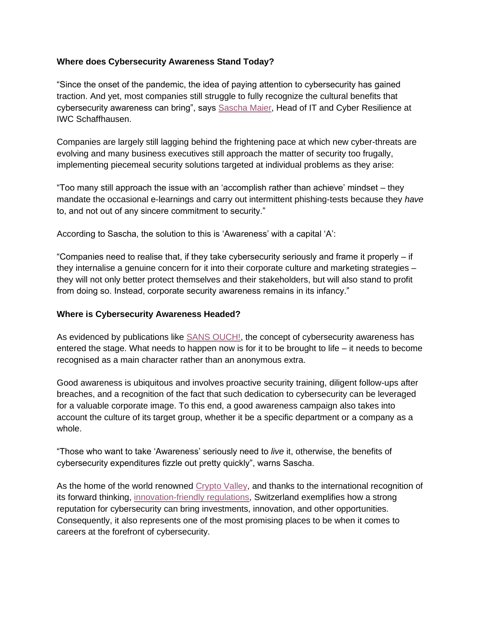### **Where does Cybersecurity Awareness Stand Today?**

"Since the onset of the pandemic, the idea of paying attention to cybersecurity has gained traction. And yet, most companies still struggle to fully recognize the cultural benefits that cybersecurity awareness can bring", says [Sascha Maier,](https://www.linkedin.com/in/sascha-maier-a624814/) Head of IT and Cyber Resilience at IWC Schaffhausen.

Companies are largely still lagging behind the frightening pace at which new cyber-threats are evolving and many business executives still approach the matter of security too frugally, implementing piecemeal security solutions targeted at individual problems as they arise:

"Too many still approach the issue with an 'accomplish rather than achieve' mindset – they mandate the occasional e-learnings and carry out intermittent phishing-tests because they *have*  to, and not out of any sincere commitment to security."

According to Sascha, the solution to this is 'Awareness' with a capital 'A':

"Companies need to realise that, if they take cybersecurity seriously and frame it properly – if they internalise a genuine concern for it into their corporate culture and marketing strategies – they will not only better protect themselves and their stakeholders, but will also stand to profit from doing so. Instead, corporate security awareness remains in its infancy."

### **Where is Cybersecurity Awareness Headed?**

As evidenced by publications like [SANS OUCH!,](https://www.sans.org/newsletters/ouch/) the concept of cybersecurity awareness has entered the stage. What needs to happen now is for it to be brought to life – it needs to become recognised as a main character rather than an anonymous extra.

Good awareness is ubiquitous and involves proactive security training, diligent follow-ups after breaches, and a recognition of the fact that such dedication to cybersecurity can be leveraged for a valuable corporate image. To this end, a good awareness campaign also takes into account the culture of its target group, whether it be a specific department or a company as a whole.

"Those who want to take 'Awareness' seriously need to *live* it, otherwise, the benefits of cybersecurity expenditures fizzle out pretty quickly", warns Sascha.

As the home of the world renowned [Crypto Valley,](https://cvvc.com/cryptovalley) and thanks to the international recognition of its forward thinking, [innovation-friendly regulations,](https://www.s-ge.com/en/publication/fact-sheet/cybersecurity-switzerland) Switzerland exemplifies how a strong reputation for cybersecurity can bring investments, innovation, and other opportunities. Consequently, it also represents one of the most promising places to be when it comes to careers at the forefront of cybersecurity.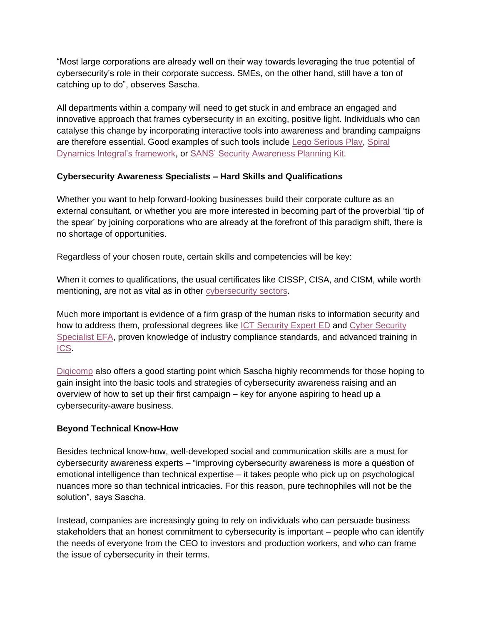"Most large corporations are already well on their way towards leveraging the true potential of cybersecurity's role in their corporate success. SMEs, on the other hand, still have a ton of catching up to do", observes Sascha.

All departments within a company will need to get stuck in and embrace an engaged and innovative approach that frames cybersecurity in an exciting, positive light. Individuals who can catalyse this change by incorporating interactive tools into awareness and branding campaigns are therefore essential. Good examples of such tools include [Lego Serious Play,](https://ideas.repec.org/h/tkp/mklp20/263-272.html) [Spiral](https://spiraldynamicsintegral.nl/en/)  [Dynamics Integral's framework,](https://spiraldynamicsintegral.nl/en/) or [SANS' Security Awareness Planning Kit.](https://www.sans.org/security-awareness-training/demos/security-awareness-planning-kit/)

## **Cybersecurity Awareness Specialists – Hard Skills and Qualifications**

Whether you want to help forward-looking businesses build their corporate culture as an external consultant, or whether you are more interested in becoming part of the proverbial 'tip of the spear' by joining corporations who are already at the forefront of this paradigm shift, there is no shortage of opportunities.

Regardless of your chosen route, certain skills and competencies will be key:

When it comes to qualifications, the usual certificates like CISSP, CISA, and CISM, while worth mentioning, are not as vital as in other [cybersecurity sectors.](https://cyberunity.io/en/cryptography-specialists-the-key-to-a-secure-post-quantum-world/)

Much more important is evidence of a firm grasp of the human risks to information security and how to address them, professional degrees like [ICT Security Expert ED](https://www.ict-berufsbildung.ch/berufsbildung/ict-weiterbildung/ict-security-expert-ed/) and [Cyber Security](https://www.ict-berufsbildung.ch/berufsbildung/ict-weiterbildung/cyber-security-specialist-efa/)  [Specialist EFA,](https://www.ict-berufsbildung.ch/berufsbildung/ict-weiterbildung/cyber-security-specialist-efa/) proven knowledge of industry compliance standards, and advanced training in [ICS.](https://cyberunity.io/en/security-scouts-ensuring-integral-corporate-security-for-tomorrows-businesses/)

[Digicomp](https://www.digicomp.ch/courses/leadership-management-courses/governance-risk-und-compliance-seminars/exam-preparation-for-the-federal-diploma-ict-security-expert/course-security-awareness-in-your-company) also offers a good starting point which Sascha highly recommends for those hoping to gain insight into the basic tools and strategies of cybersecurity awareness raising and an overview of how to set up their first campaign – key for anyone aspiring to head up a cybersecurity-aware business.

### **Beyond Technical Know-How**

Besides technical know-how, well-developed social and communication skills are a must for cybersecurity awareness experts – "improving cybersecurity awareness is more a question of emotional intelligence than technical expertise – it takes people who pick up on psychological nuances more so than technical intricacies. For this reason, pure technophiles will not be the solution", says Sascha.

Instead, companies are increasingly going to rely on individuals who can persuade business stakeholders that an honest commitment to cybersecurity is important – people who can identify the needs of everyone from the CEO to investors and production workers, and who can frame the issue of cybersecurity in their terms.